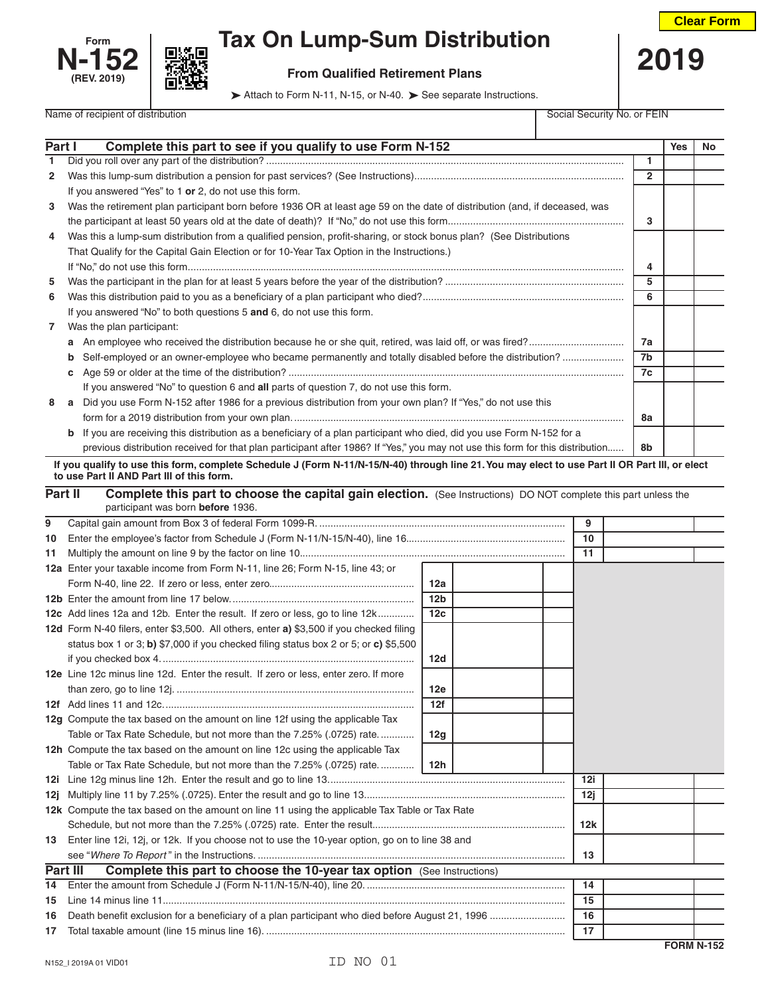



## **Form Tax On Lump-Sum Distribution**

## Name of recipient of distribution Social Security No. or FEIN

Attach to Form N-11, N-15, or N-40. > See separate Instructions.

| Part I                                      | Complete this part to see if you qualify to use Form N-152                                                                                     |                      | <b>Yes</b> | No |  |  |
|---------------------------------------------|------------------------------------------------------------------------------------------------------------------------------------------------|----------------------|------------|----|--|--|
| 1                                           |                                                                                                                                                | 1                    |            |    |  |  |
| $\mathbf{2}$                                |                                                                                                                                                | $\overline{2}$       |            |    |  |  |
|                                             | If you answered "Yes" to 1 or 2, do not use this form.                                                                                         |                      |            |    |  |  |
| 3                                           | Was the retirement plan participant born before 1936 OR at least age 59 on the date of distribution (and, if deceased, was                     |                      |            |    |  |  |
|                                             |                                                                                                                                                |                      |            |    |  |  |
| 4                                           | Was this a lump-sum distribution from a qualified pension, profit-sharing, or stock bonus plan? (See Distributions                             |                      |            |    |  |  |
|                                             | That Qualify for the Capital Gain Election or for 10-Year Tax Option in the Instructions.)                                                     |                      |            |    |  |  |
|                                             |                                                                                                                                                | 4                    |            |    |  |  |
| 5                                           |                                                                                                                                                | 5                    |            |    |  |  |
| 6                                           |                                                                                                                                                |                      |            |    |  |  |
|                                             | If you answered "No" to both questions 5 and 6, do not use this form.                                                                          |                      |            |    |  |  |
| Was the plan participant:<br>$\overline{7}$ |                                                                                                                                                |                      |            |    |  |  |
|                                             | а                                                                                                                                              |                      |            |    |  |  |
|                                             | Self-employed or an owner-employee who became permanently and totally disabled before the distribution?<br>b                                   | 7a<br>7 <sub>b</sub> |            |    |  |  |
|                                             | c                                                                                                                                              |                      |            |    |  |  |
|                                             | If you answered "No" to question 6 and all parts of question 7, do not use this form.                                                          | 7c                   |            |    |  |  |
| 8                                           | a Did you use Form N-152 after 1986 for a previous distribution from your own plan? If "Yes," do not use this                                  |                      |            |    |  |  |
|                                             |                                                                                                                                                |                      |            |    |  |  |
|                                             | If you are receiving this distribution as a beneficiary of a plan participant who died, did you use Form N-152 for a<br>b                      |                      |            |    |  |  |
|                                             | previous distribution received for that plan participant after 1986? If "Yes," you may not use this form for this distribution                 | 8b                   |            |    |  |  |
|                                             | If you qualify to use this form, complete Schedule J (Form N-11/N-15/N-40) through line 21. You may elect to use Part II OR Part III, or elect |                      |            |    |  |  |
|                                             | to use Part II AND Part III of this form.                                                                                                      |                      |            |    |  |  |
|                                             | Part II<br>Complete this part to choose the capital gain election. (See Instructions) DO NOT complete this part unless the                     |                      |            |    |  |  |
|                                             | participant was born before 1936.                                                                                                              |                      |            |    |  |  |
| 9                                           | 9                                                                                                                                              |                      |            |    |  |  |
| 10                                          | 10                                                                                                                                             |                      |            |    |  |  |
| 11                                          | 11                                                                                                                                             |                      |            |    |  |  |
|                                             | 12a Enter your taxable income from Form N-11, line 26; Form N-15, line 43; or                                                                  |                      |            |    |  |  |
|                                             |                                                                                                                                                |                      |            |    |  |  |

|    |                                                                                                | 12 <sub>b</sub> |    |     |     |  |  |
|----|------------------------------------------------------------------------------------------------|-----------------|----|-----|-----|--|--|
|    | 12c Add lines 12a and 12b. Enter the result. If zero or less, go to line 12k                   | 12 <sub>c</sub> |    |     |     |  |  |
|    | 12d Form N-40 filers, enter \$3,500. All others, enter a) \$3,500 if you checked filing        |                 |    |     |     |  |  |
|    | status box 1 or 3; b) \$7,000 if you checked filing status box 2 or 5; or c) \$5,500           |                 |    |     |     |  |  |
|    |                                                                                                | 12d             |    |     |     |  |  |
|    | 12e Line 12c minus line 12d. Enter the result. If zero or less, enter zero. If more            |                 |    |     |     |  |  |
|    |                                                                                                | 12e             |    |     |     |  |  |
|    |                                                                                                | 12f             |    |     |     |  |  |
|    | 12g Compute the tax based on the amount on line 12f using the applicable Tax                   |                 |    |     |     |  |  |
|    | Table or Tax Rate Schedule, but not more than the 7.25% (.0725) rate                           | 12g             |    |     |     |  |  |
|    | 12h Compute the tax based on the amount on line 12c using the applicable Tax                   |                 |    |     |     |  |  |
|    | Table or Tax Rate Schedule, but not more than the 7.25% (.0725) rate                           | 12h             |    |     |     |  |  |
|    |                                                                                                |                 |    |     | 12i |  |  |
|    |                                                                                                |                 |    |     | 12j |  |  |
|    | 12k Compute the tax based on the amount on line 11 using the applicable Tax Table or Tax Rate  |                 |    |     |     |  |  |
|    |                                                                                                |                 |    | 12k |     |  |  |
| 13 | Enter line 12i, 12j, or 12k. If you choose not to use the 10-year option, go on to line 38 and |                 |    |     |     |  |  |
|    |                                                                                                |                 |    |     | 13  |  |  |
|    | Part III<br><b>Complete this part to choose the 10-year tax option</b> (See Instructions)      |                 |    |     |     |  |  |
| 14 |                                                                                                |                 |    |     | 14  |  |  |
| 15 |                                                                                                |                 |    | 15  |     |  |  |
| 16 |                                                                                                |                 |    |     | 16  |  |  |
|    |                                                                                                |                 | 17 |     |     |  |  |
|    |                                                                                                |                 |    |     |     |  |  |